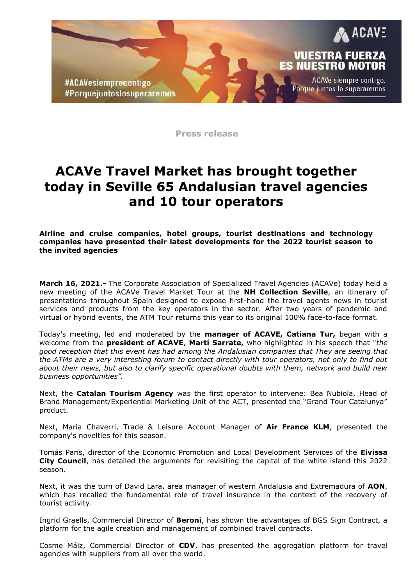

**Press release**

## **ACAVe Travel Market has brought together today in Seville 65 Andalusian travel agencies and 10 tour operators**

**Airline and cruise companies, hotel groups, tourist destinations and technology companies have presented their latest developments for the 2022 tourist season to the invited agencies**

**March 16, 2021.-** The Corporate Association of Specialized Travel Agencies (ACAVe) today held a new meeting of the ACAVe Travel Market Tour at the **NH Collection Seville**, an itinerary of presentations throughout Spain designed to expose first-hand the travel agents news in tourist services and products from the key operators in the sector. After two years of pandemic and virtual or hybrid events, the ATM Tour returns this year to its original 100% face-to-face format.

Today's meeting, led and moderated by the **manager of ACAVE, Catiana Tur,** began with a welcome from the **president of ACAVE**, **Martí Sarrate,** who highlighted in his speech that "*the good reception that this event has had among the Andalusian companies that They are seeing that the ATMs are a very interesting forum to contact directly with tour operators, not only to find out about their news, but also to clarify specific operational doubts with them, network and build new business opportunities".*

Next, the **Catalan Tourism Agency** was the first operator to intervene: Bea Nubiola, Head of Brand Management/Experiential Marketing Unit of the ACT, presented the "Grand Tour Catalunya" product.

Next, Maria Chaverri, Trade & Leisure Account Manager of **Air France KLM**, presented the company's novelties for this season.

Tomás París, director of the Economic Promotion and Local Development Services of the **Eivissa City Council**, has detailed the arguments for revisiting the capital of the white island this 2022 season.

Next, it was the turn of David Lara, area manager of western Andalusia and Extremadura of **AON**, which has recalled the fundamental role of travel insurance in the context of the recovery of tourist activity.

Ingrid Graells, Commercial Director of **Beroni**, has shown the advantages of BGS Sign Contract, a platform for the agile creation and management of combined travel contracts.

Cosme Máiz, Commercial Director of **CDV**, has presented the aggregation platform for travel agencies with suppliers from all over the world.